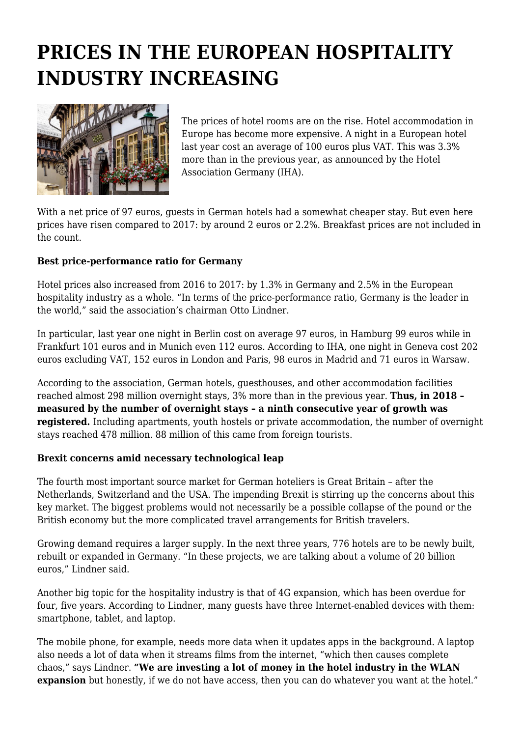## **PRICES IN THE EUROPEAN HOSPITALITY INDUSTRY INCREASING**



The prices of hotel rooms are on the rise. Hotel accommodation in Europe has become more expensive. A night in a European hotel last year cost an average of 100 euros plus VAT. This was 3.3% more than in the previous year, as announced by the Hotel Association Germany (IHA).

With a net price of 97 euros, guests in German hotels had a somewhat cheaper stay. But even here prices have risen compared to 2017: by around 2 euros or 2.2%. Breakfast prices are not included in the count.

## **Best price-performance ratio for Germany**

Hotel prices also increased from 2016 to 2017: by 1.3% in Germany and 2.5% in the European hospitality industry as a whole. "In terms of the price-performance ratio, Germany is the leader in the world," said the association's chairman Otto Lindner.

In particular, last year one night in Berlin cost on average 97 euros, in Hamburg 99 euros while in Frankfurt 101 euros and in Munich even 112 euros. According to IHA, one night in Geneva cost 202 euros excluding VAT, 152 euros in London and Paris, 98 euros in Madrid and 71 euros in Warsaw.

According to the association, German hotels, guesthouses, and other accommodation facilities reached almost 298 million overnight stays, 3% more than in the previous year. **Thus, in 2018 – measured by the number of overnight stays – a ninth consecutive year of growth was registered.** Including apartments, youth hostels or private accommodation, the number of overnight stays reached 478 million. 88 million of this came from foreign tourists.

## **Brexit concerns amid necessary technological leap**

The fourth most important source market for German hoteliers is Great Britain – after the Netherlands, Switzerland and the USA. The impending Brexit is stirring up the concerns about this key market. The biggest problems would not necessarily be a possible collapse of the pound or the British economy but the more complicated travel arrangements for British travelers.

Growing demand requires a larger supply. In the next three years, 776 hotels are to be newly built, rebuilt or expanded in Germany. "In these projects, we are talking about a volume of 20 billion euros," Lindner said.

Another big topic for the hospitality industry is that of 4G expansion, which has been overdue for four, five years. According to Lindner, many guests have three Internet-enabled devices with them: smartphone, tablet, and laptop.

The mobile phone, for example, needs more data when it updates apps in the background. A laptop also needs a lot of data when it streams films from the internet, "which then causes complete chaos," says Lindner. **"We are investing a lot of money in the hotel industry in the WLAN expansion** but honestly, if we do not have access, then you can do whatever you want at the hotel."